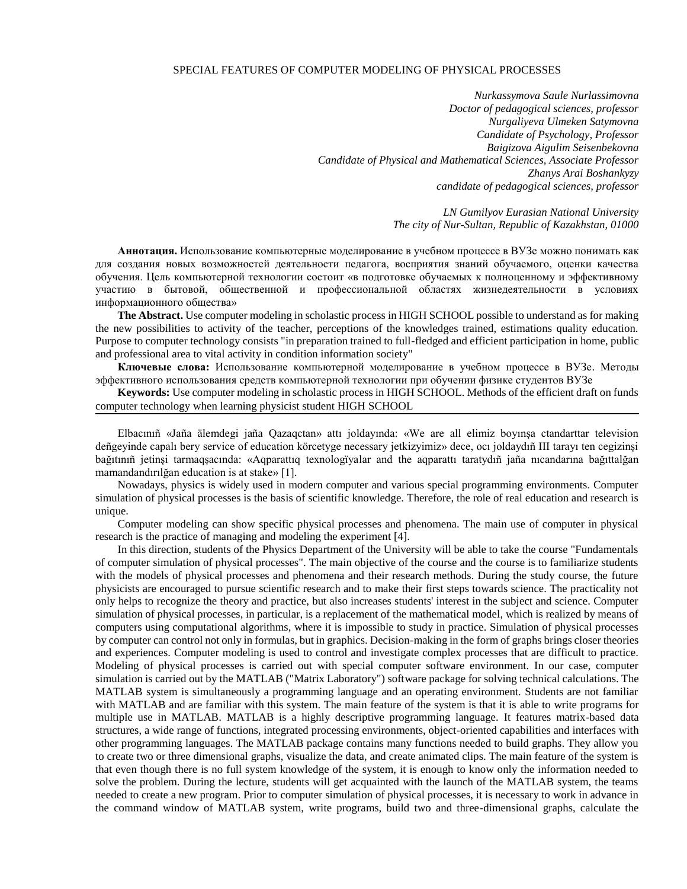## SPECIAL FEATURES OF COMPUTER MODELING OF PHYSICAL PROCESSES

*Nurkassymova Saule Nurlassimovna Doctor of pedagogical sciences, professor Nurgaliyeva Ulmeken Satymovna Candidate of Psychology, Professor Baigizova Aigulim Seisenbekovna Candidate of Physical and Mathematical Sciences, Associate Professor Zhanys Arai Boshankyzy candidate of pedagogical sciences, professor*

> *LN Gumilyov Eurasian National University The city of Nur-Sultan, Republic of Kazakhstan, 01000*

**Аннотация.** Использование компьютерные моделирование в учебном процессе в ВУЗе можно понимать как для создания новых возможностей деятельности педагога, восприятия знаний обучаемого, оценки качества обучения. Цель компьютерной технологии состоит «в подготовке обучаемых к полноценному и эффективному участию в бытовой, общественной и профессиональной областях жизнедеятельности в условиях информационного общества»

**The Abstract.** Use computer modeling in scholastic process in HIGH SCHOOL possible to understand as for making the new possibilities to activity of the teacher, perceptions of the knowledges trained, estimations quality education. Purpose to computer technology consists "in preparation trained to full-fledged and efficient participation in home, public and professional area to vital activity in condition information society"

**Ключевые слова:** Использование компьютерной моделирование в учебном процессе в ВУЗе. Методы эффективного использования средств компьютерной технологии при обучении физике студентов ВУЗе

**Keywords:** Use computer modeling in scholastic process in HIGH SCHOOL. Methods of the efficient draft on funds computer technology when learning physicist student HIGH SCHOOL

Elbacınıñ «Jaña älemdegi jaña Qazaqctan» attı joldayında: «We are all elimiz boyınşa ctandarttar television deñgeyinde capalı bery service of education körcetyge necessary jetkizyimiz» dece, ocı joldaydıñ III tarayı ten cegizinşi bağıtınıñ jetinşi tarmaqşacında: «Aqparattıq texnologïyalar and the aqparattı taratydıñ jaña nıcandarına bağıttalğan mamandandırılğan education is at stake» [1].

Nowadays, physics is widely used in modern computer and various special programming environments. Computer simulation of physical processes is the basis of scientific knowledge. Therefore, the role of real education and research is unique.

Computer modeling can show specific physical processes and phenomena. The main use of computer in physical research is the practice of managing and modeling the experiment [4].

In this direction, students of the Physics Department of the University will be able to take the course "Fundamentals of computer simulation of physical processes". The main objective of the course and the course is to familiarize students with the models of physical processes and phenomena and their research methods. During the study course, the future physicists are encouraged to pursue scientific research and to make their first steps towards science. The practicality not only helps to recognize the theory and practice, but also increases students' interest in the subject and science. Computer simulation of physical processes, in particular, is a replacement of the mathematical model, which is realized by means of computers using computational algorithms, where it is impossible to study in practice. Simulation of physical processes by computer can control not only in formulas, but in graphics. Decision-making in the form of graphs brings closer theories and experiences. Computer modeling is used to control and investigate complex processes that are difficult to practice. Modeling of physical processes is carried out with special computer software environment. In our case, computer simulation is carried out by the MATLAB ("Matrix Laboratory") software package for solving technical calculations. The MATLAB system is simultaneously a programming language and an operating environment. Students are not familiar with MATLAB and are familiar with this system. The main feature of the system is that it is able to write programs for multiple use in MATLAB. MATLAB is a highly descriptive programming language. It features matrix-based data structures, a wide range of functions, integrated processing environments, object-oriented capabilities and interfaces with other programming languages. The MATLAB package contains many functions needed to build graphs. They allow you to create two or three dimensional graphs, visualize the data, and create animated clips. The main feature of the system is that even though there is no full system knowledge of the system, it is enough to know only the information needed to solve the problem. During the lecture, students will get acquainted with the launch of the MATLAB system, the teams needed to create a new program. Prior to computer simulation of physical processes, it is necessary to work in advance in the command window of MATLAB system, write programs, build two and three-dimensional graphs, calculate the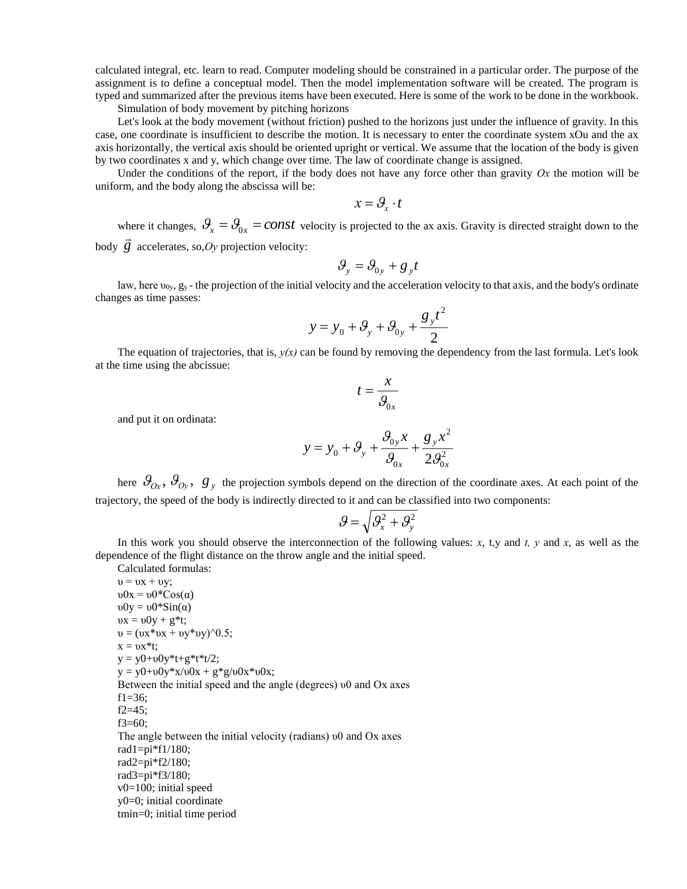calculated integral, etc. learn to read. Computer modeling should be constrained in a particular order. The purpose of the assignment is to define a conceptual model. Then the model implementation software will be created. The program is typed and summarized after the previous items have been executed. Here is some of the work to be done in the workbook.

Simulation of body movement by pitching horizons

Let's look at the body movement (without friction) pushed to the horizons just under the influence of gravity. In this case, one coordinate is insufficient to describe the motion. It is necessary to enter the coordinate system xOu and the ax axis horizontally, the vertical axis should be oriented upright or vertical. We assume that the location of the body is given by two coordinates x and y, which change over time. The law of coordinate change is assigned.

Under the conditions of the report, if the body does not have any force other than gravity  $Ox$  the motion will be uniform, and the body along the abscissa will be:

$$
x = \mathcal{G}_{\mathbf{x}} \cdot t
$$

where it changes,  $\theta_x = \theta_{0x} = const$  velocity is projected to the ax axis. Gravity is directed straight down to the body  $\vec{g}$  accelerates, so, *Oy* projection velocity:

$$
\mathcal{G}_y = \mathcal{G}_{0y} + g_y t
$$

law, here  $v_{0y}$ ,  $g_y$  - the projection of the initial velocity and the acceleration velocity to that axis, and the body's ordinate changes as time passes:

$$
y = y_0 + \mathcal{G}_y + \mathcal{G}_{0y} + \frac{g_y t^2}{2}
$$

The equation of trajectories, that is,  $y(x)$  can be found by removing the dependency from the last formula. Let's look at the time using the abcissue:

$$
t = \frac{x}{\mathcal{G}_{0x}}
$$

and put it on ordinata:

Calculated formulas:

$$
y = y_0 + \mathcal{G}_y + \frac{\mathcal{G}_{0y} x}{\mathcal{G}_{0x}} + \frac{g_y x^2}{2 \mathcal{G}_{0x}^2}
$$

here  $\mathcal{G}_{Ox}$ ,  $\mathcal{G}_{Oy}$ ,  $g_y$  the projection symbols depend on the direction of the coordinate axes. At each point of the trajectory, the speed of the body is indirectly directed to it and can be classified into two components:

$$
\mathcal{G} = \sqrt{\mathcal{G}_x^2 + \mathcal{G}_y^2}
$$

In this work you should observe the interconnection of the following values: *x*, t,y and *t*, *y* and *x*, as well as the dependence of the flight distance on the throw angle and the initial speed.

 $v = vx + vy;$ υ0х = υ0\*Соs(α)  $v0y = v0*Sin(\alpha)$  $\n \, \text{vX} = \text{v0y} + \text{g*t};$  $v = (vx*vx + vy*vy)^0.5;$  $x = \nu x^*t;$  $y = y0+v0y*t+g*t*t/2;$  $y = y0 + υ0y*x/υ0x + g*g/υ0x*υ0x;$ Between the initial speed and the angle (degrees) υ0 and Ох axes f1= $36$ ; f2=45; f3=60; The angle between the initial velocity (radians) υ0 and Ох axes rad $1=pi*f1/180$ ; rad2=pi\*f2/180; rad3=pi\*f3/180; v0=100; initial speed y0=0; initial coordinate tmin=0; initial time period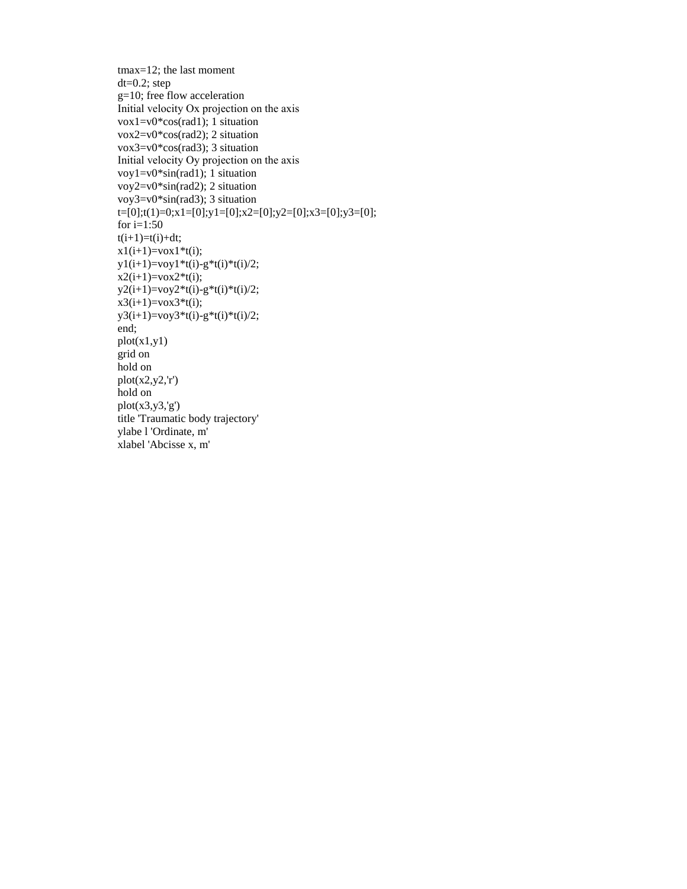```
tmax=12; the last moment
dt=0.2; step
g=10; free flow acceleration
Initial velocity Ох projection on the axis
vox1=v0*cos(rad1); 1 situation
vox2=v0*cos(rad2); 2 situation 
vox3=v0*cos(rad3); 3 situation
Initial velocity Оу projection on the axis
voy1=v0*sin(rad1); 1 situation
voy2=v0*sin(rad2); 2 situation
voy3=v0*sin(rad3); 3 situation
t=[0];t(1)=0;x1=[0];y1=[0];x2=[0];y2=[0];x3=[0];y3=[0];for i=1:50t(i+1)=t(i)+dt;x1(i+1)=vox1*t(i);y1(i+1)=voy1*t(i)-g*t(i)*t(i)/2;x2(i+1)=vox2*t(i);y2(i+1)=voy2*t(i)-g*t(i)*t(i)/2;x3(i+1)=vox3*t(i);y3(i+1)=v0y3*t(i)-g*t(i)*t(i)/2;end;
plot(x1,y1)grid on
hold on
plot(x2,y2,r')hold on
plot(x3,y3,y)title 'Traumatic body trajectory'
ylabe l 'Ordinate, m'
xlabel 'Abcisse x, m'
```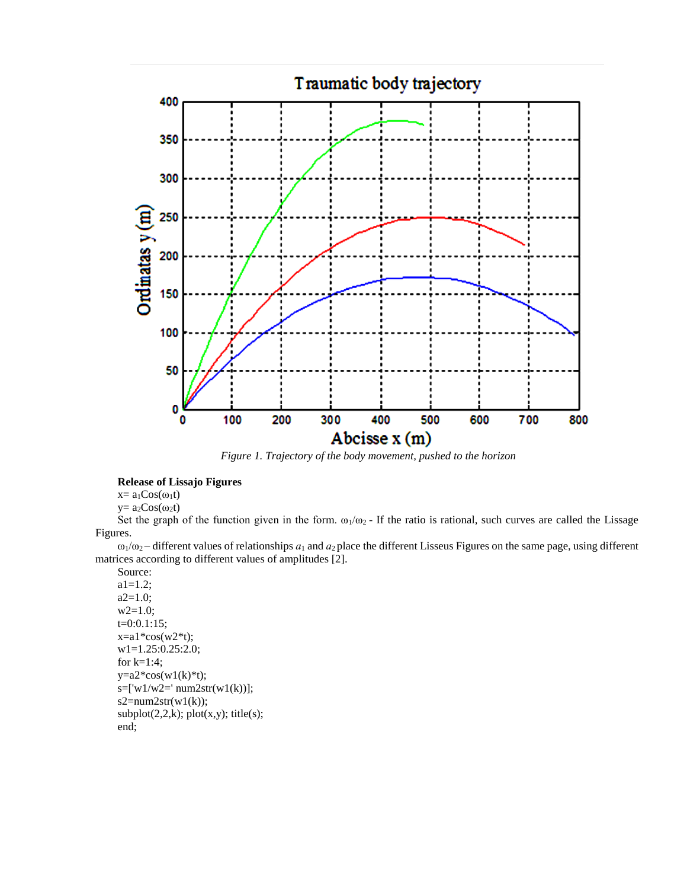

*Figure 1. Trajectory of the body movement, pushed to the horizon*

## **Release of Lissajo Figures**

 $x= a_1 Cos(\omega_1 t)$ 

 $y=a_2Cos(\omega_2t)$ 

Set the graph of the function given in the form.  $\omega_1/\omega_2$  - If the ratio is rational, such curves are called the Lissage Figures.

 $\omega_1/\omega_2$  – different values of relationships  $a_1$  and  $a_2$  place the different Lisseus Figures on the same page, using different matrices according to different values of amplitudes [2].

```
Source:
a1=1.2;
a2=1.0;
w2=1.0;
t=0:0.1:15; 
x=a1*cos(w2*t);w1=1.25:0.25:2.0;
for k=1:4;
y=a2*cos(w1(k)*t);s=['w1/w2='num2str(w1(k))];s2 = num2str(w1(k));subplot(2,2,k); plot(x,y); title(s);end;
```